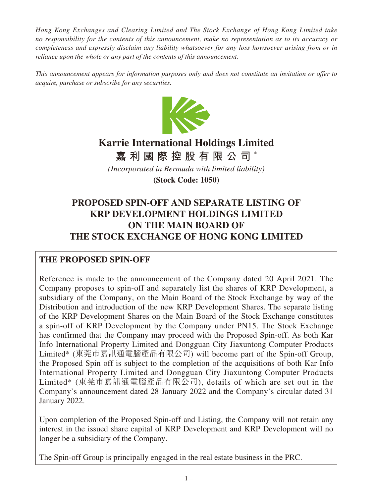*Hong Kong Exchanges and Clearing Limited and The Stock Exchange of Hong Kong Limited take no responsibility for the contents of this announcement, make no representation as to its accuracy or completeness and expressly disclaim any liability whatsoever for any loss howsoever arising from or in reliance upon the whole or any part of the contents of this announcement.*

*This announcement appears for information purposes only and does not constitute an invitation or offer to acquire, purchase or subscribe for any securities.*



# **Karrie International Holdings Limited**

**嘉利國際控股有限公司** \*

*(Incorporated in Bermuda with limited liability)*

**(Stock Code: 1050)**

## **PROPOSED SPIN-OFF AND SEPARATE LISTING OF KRP DEVELOPMENT HOLDINGS LIMITED ON THE MAIN BOARD OF THE STOCK EXCHANGE OF HONG KONG LIMITED**

## **THE PROPOSED SPIN-OFF**

Reference is made to the announcement of the Company dated 20 April 2021. The Company proposes to spin-off and separately list the shares of KRP Development, a subsidiary of the Company, on the Main Board of the Stock Exchange by way of the Distribution and introduction of the new KRP Development Shares. The separate listing of the KRP Development Shares on the Main Board of the Stock Exchange constitutes a spin-off of KRP Development by the Company under PN15. The Stock Exchange has confirmed that the Company may proceed with the Proposed Spin-off. As both Kar Info International Property Limited and Dongguan City Jiaxuntong Computer Products Limited\* (東莞市嘉訊通電腦產品有限公司) will become part of the Spin-off Group, the Proposed Spin off is subject to the completion of the acquisitions of both Kar Info International Property Limited and Dongguan City Jiaxuntong Computer Products Limited\* (東莞市嘉訊通電腦產品有限公司), details of which are set out in the Company's announcement dated 28 January 2022 and the Company's circular dated 31 January 2022.

Upon completion of the Proposed Spin-off and Listing, the Company will not retain any interest in the issued share capital of KRP Development and KRP Development will no longer be a subsidiary of the Company.

The Spin-off Group is principally engaged in the real estate business in the PRC.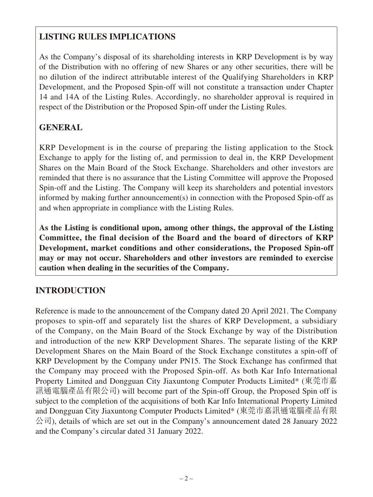## **LISTING RULES IMPLICATIONS**

As the Company's disposal of its shareholding interests in KRP Development is by way of the Distribution with no offering of new Shares or any other securities, there will be no dilution of the indirect attributable interest of the Qualifying Shareholders in KRP Development, and the Proposed Spin-off will not constitute a transaction under Chapter 14 and 14A of the Listing Rules. Accordingly, no shareholder approval is required in respect of the Distribution or the Proposed Spin-off under the Listing Rules.

## **GENERAL**

KRP Development is in the course of preparing the listing application to the Stock Exchange to apply for the listing of, and permission to deal in, the KRP Development Shares on the Main Board of the Stock Exchange. Shareholders and other investors are reminded that there is no assurance that the Listing Committee will approve the Proposed Spin-off and the Listing. The Company will keep its shareholders and potential investors informed by making further announcement(s) in connection with the Proposed Spin-off as and when appropriate in compliance with the Listing Rules.

**As the Listing is conditional upon, among other things, the approval of the Listing Committee, the final decision of the Board and the board of directors of KRP Development, market conditions and other considerations, the Proposed Spin-off may or may not occur. Shareholders and other investors are reminded to exercise caution when dealing in the securities of the Company.**

## **INTRODUCTION**

Reference is made to the announcement of the Company dated 20 April 2021. The Company proposes to spin-off and separately list the shares of KRP Development, a subsidiary of the Company, on the Main Board of the Stock Exchange by way of the Distribution and introduction of the new KRP Development Shares. The separate listing of the KRP Development Shares on the Main Board of the Stock Exchange constitutes a spin-off of KRP Development by the Company under PN15. The Stock Exchange has confirmed that the Company may proceed with the Proposed Spin-off. As both Kar Info International Property Limited and Dongguan City Jiaxuntong Computer Products Limited\* (東莞市嘉 訊通電腦產品有限公司) will become part of the Spin-off Group, the Proposed Spin off is subject to the completion of the acquisitions of both Kar Info International Property Limited and Dongguan City Jiaxuntong Computer Products Limited\* (東莞市嘉訊通電腦產品有限  $\langle \hat{\triangle} \vec{\tau} |$ ), details of which are set out in the Company's announcement dated 28 January 2022 and the Company's circular dated 31 January 2022.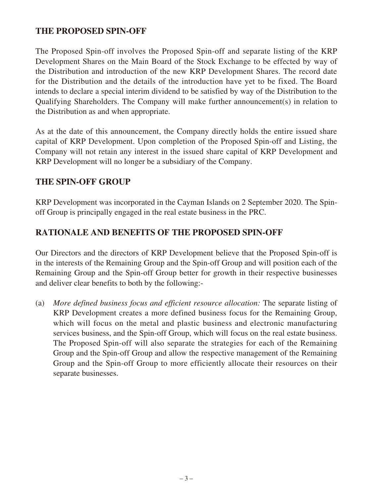#### **THE PROPOSED SPIN-OFF**

The Proposed Spin-off involves the Proposed Spin-off and separate listing of the KRP Development Shares on the Main Board of the Stock Exchange to be effected by way of the Distribution and introduction of the new KRP Development Shares. The record date for the Distribution and the details of the introduction have yet to be fixed. The Board intends to declare a special interim dividend to be satisfied by way of the Distribution to the Qualifying Shareholders. The Company will make further announcement(s) in relation to the Distribution as and when appropriate.

As at the date of this announcement, the Company directly holds the entire issued share capital of KRP Development. Upon completion of the Proposed Spin-off and Listing, the Company will not retain any interest in the issued share capital of KRP Development and KRP Development will no longer be a subsidiary of the Company.

#### **THE SPIN-OFF GROUP**

KRP Development was incorporated in the Cayman Islands on 2 September 2020. The Spinoff Group is principally engaged in the real estate business in the PRC.

### **RATIONALE AND BENEFITS OF THE PROPOSED SPIN-OFF**

Our Directors and the directors of KRP Development believe that the Proposed Spin-off is in the interests of the Remaining Group and the Spin-off Group and will position each of the Remaining Group and the Spin-off Group better for growth in their respective businesses and deliver clear benefits to both by the following:-

(a) *More defined business focus and efficient resource allocation:* The separate listing of KRP Development creates a more defined business focus for the Remaining Group, which will focus on the metal and plastic business and electronic manufacturing services business, and the Spin-off Group, which will focus on the real estate business. The Proposed Spin-off will also separate the strategies for each of the Remaining Group and the Spin-off Group and allow the respective management of the Remaining Group and the Spin-off Group to more efficiently allocate their resources on their separate businesses.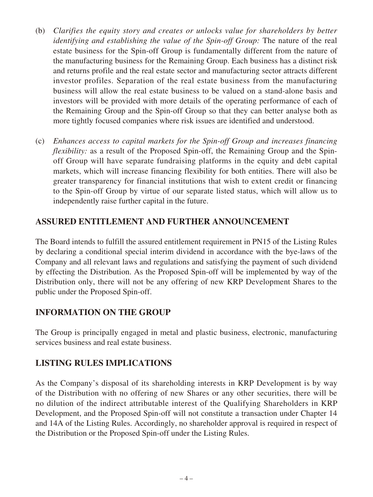- (b) *Clarifies the equity story and creates or unlocks value for shareholders by better identifying and establishing the value of the Spin-off Group:* The nature of the real estate business for the Spin-off Group is fundamentally different from the nature of the manufacturing business for the Remaining Group. Each business has a distinct risk and returns profile and the real estate sector and manufacturing sector attracts different investor profiles. Separation of the real estate business from the manufacturing business will allow the real estate business to be valued on a stand-alone basis and investors will be provided with more details of the operating performance of each of the Remaining Group and the Spin-off Group so that they can better analyse both as more tightly focused companies where risk issues are identified and understood.
- (c) *Enhances access to capital markets for the Spin-off Group and increases financing flexibility:* as a result of the Proposed Spin-off, the Remaining Group and the Spinoff Group will have separate fundraising platforms in the equity and debt capital markets, which will increase financing flexibility for both entities. There will also be greater transparency for financial institutions that wish to extent credit or financing to the Spin-off Group by virtue of our separate listed status, which will allow us to independently raise further capital in the future.

## **ASSURED ENTITLEMENT AND FURTHER ANNOUNCEMENT**

The Board intends to fulfill the assured entitlement requirement in PN15 of the Listing Rules by declaring a conditional special interim dividend in accordance with the bye-laws of the Company and all relevant laws and regulations and satisfying the payment of such dividend by effecting the Distribution. As the Proposed Spin-off will be implemented by way of the Distribution only, there will not be any offering of new KRP Development Shares to the public under the Proposed Spin-off.

#### **INFORMATION ON THE GROUP**

The Group is principally engaged in metal and plastic business, electronic, manufacturing services business and real estate business.

## **LISTING RULES IMPLICATIONS**

As the Company's disposal of its shareholding interests in KRP Development is by way of the Distribution with no offering of new Shares or any other securities, there will be no dilution of the indirect attributable interest of the Qualifying Shareholders in KRP Development, and the Proposed Spin-off will not constitute a transaction under Chapter 14 and 14A of the Listing Rules. Accordingly, no shareholder approval is required in respect of the Distribution or the Proposed Spin-off under the Listing Rules.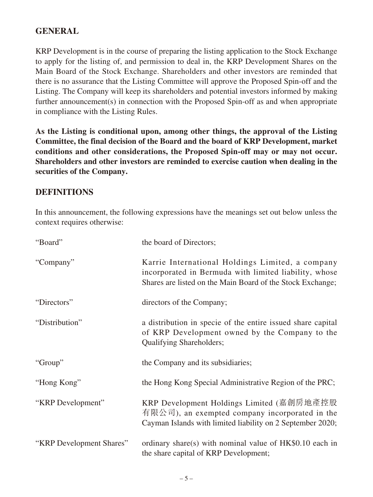### **GENERAL**

KRP Development is in the course of preparing the listing application to the Stock Exchange to apply for the listing of, and permission to deal in, the KRP Development Shares on the Main Board of the Stock Exchange. Shareholders and other investors are reminded that there is no assurance that the Listing Committee will approve the Proposed Spin-off and the Listing. The Company will keep its shareholders and potential investors informed by making further announcement(s) in connection with the Proposed Spin-off as and when appropriate in compliance with the Listing Rules.

**As the Listing is conditional upon, among other things, the approval of the Listing Committee, the final decision of the Board and the board of KRP Development, market conditions and other considerations, the Proposed Spin-off may or may not occur. Shareholders and other investors are reminded to exercise caution when dealing in the securities of the Company.**

#### **DEFINITIONS**

In this announcement, the following expressions have the meanings set out below unless the context requires otherwise:

| "Board"                  | the board of Directors;                                                                                                                                                 |
|--------------------------|-------------------------------------------------------------------------------------------------------------------------------------------------------------------------|
| "Company"                | Karrie International Holdings Limited, a company<br>incorporated in Bermuda with limited liability, whose<br>Shares are listed on the Main Board of the Stock Exchange; |
| "Directors"              | directors of the Company;                                                                                                                                               |
| "Distribution"           | a distribution in specie of the entire issued share capital<br>of KRP Development owned by the Company to the<br><b>Qualifying Shareholders;</b>                        |
| "Group"                  | the Company and its subsidiaries;                                                                                                                                       |
| "Hong Kong"              | the Hong Kong Special Administrative Region of the PRC;                                                                                                                 |
| "KRP Development"        | KRP Development Holdings Limited (嘉創房地產控股<br>有限公司), an exempted company incorporated in the<br>Cayman Islands with limited liability on 2 September 2020;               |
| "KRP Development Shares" | ordinary share(s) with nominal value of HK\$0.10 each in<br>the share capital of KRP Development;                                                                       |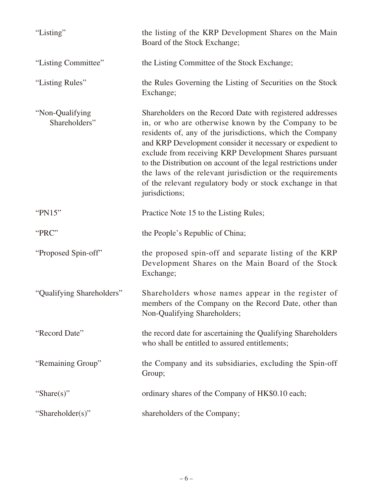| "Listing"                        | the listing of the KRP Development Shares on the Main<br>Board of the Stock Exchange;                                                                                                                                                                                                                                                                                                                                                                                                                              |
|----------------------------------|--------------------------------------------------------------------------------------------------------------------------------------------------------------------------------------------------------------------------------------------------------------------------------------------------------------------------------------------------------------------------------------------------------------------------------------------------------------------------------------------------------------------|
| "Listing Committee"              | the Listing Committee of the Stock Exchange;                                                                                                                                                                                                                                                                                                                                                                                                                                                                       |
| "Listing Rules"                  | the Rules Governing the Listing of Securities on the Stock<br>Exchange;                                                                                                                                                                                                                                                                                                                                                                                                                                            |
| "Non-Qualifying<br>Shareholders" | Shareholders on the Record Date with registered addresses<br>in, or who are otherwise known by the Company to be<br>residents of, any of the jurisdictions, which the Company<br>and KRP Development consider it necessary or expedient to<br>exclude from receiving KRP Development Shares pursuant<br>to the Distribution on account of the legal restrictions under<br>the laws of the relevant jurisdiction or the requirements<br>of the relevant regulatory body or stock exchange in that<br>jurisdictions; |
| "PN15"                           | Practice Note 15 to the Listing Rules;                                                                                                                                                                                                                                                                                                                                                                                                                                                                             |
| "PRC"                            | the People's Republic of China;                                                                                                                                                                                                                                                                                                                                                                                                                                                                                    |
| "Proposed Spin-off"              | the proposed spin-off and separate listing of the KRP<br>Development Shares on the Main Board of the Stock                                                                                                                                                                                                                                                                                                                                                                                                         |
|                                  | Exchange;                                                                                                                                                                                                                                                                                                                                                                                                                                                                                                          |
| "Qualifying Shareholders"        | Shareholders whose names appear in the register of<br>members of the Company on the Record Date, other than<br>Non-Qualifying Shareholders;                                                                                                                                                                                                                                                                                                                                                                        |
| "Record Date"                    | the record date for ascertaining the Qualifying Shareholders<br>who shall be entitled to assured entitlements;                                                                                                                                                                                                                                                                                                                                                                                                     |
| "Remaining Group"                | the Company and its subsidiaries, excluding the Spin-off<br>Group;                                                                                                                                                                                                                                                                                                                                                                                                                                                 |
| "Share $(s)$ "                   | ordinary shares of the Company of HK\$0.10 each;                                                                                                                                                                                                                                                                                                                                                                                                                                                                   |